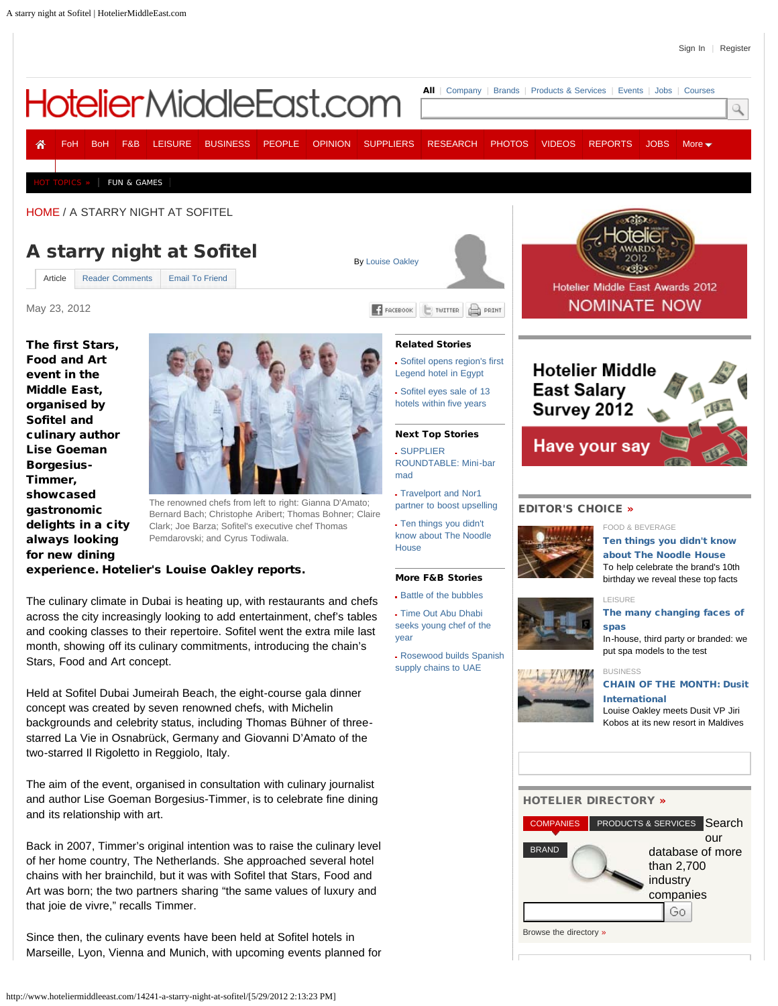our

than 2,700 industry companies

Go

<span id="page-0-0"></span>

starred La Vie in Osnabrück, Germany and Giovanni D'Amato of the The aim of the event, organised in consultation with culinary journalist and author Lise Goeman Borgesius-Timmer, is to celebrate fine dining [COMPANIES](javascript:void(0)) [PRODUCTS & SERVICES](javascript:void(0)) Search [BRAND](javascript:void(0)) [HOTELIER DIRECTORY](http://www.hoteliermiddleeast.com/#) » database of more

Back in 2007, Timmer's original intention was to raise the culinary level of her home country, The Netherlands. She approached several hotel chains with her brainchild, but it was with Sofitel that Stars, Food and Art was born; the two partners sharing "the same values of luxury and that joie de vivre," recalls Timmer.

Since then, the culinary events have been held at Sofitel hotels in Marseille, Lyon, Vienna and Munich, with upcoming events planned for

two-starred Il Rigoletto in Reggiolo, Italy.

and its relationship with art.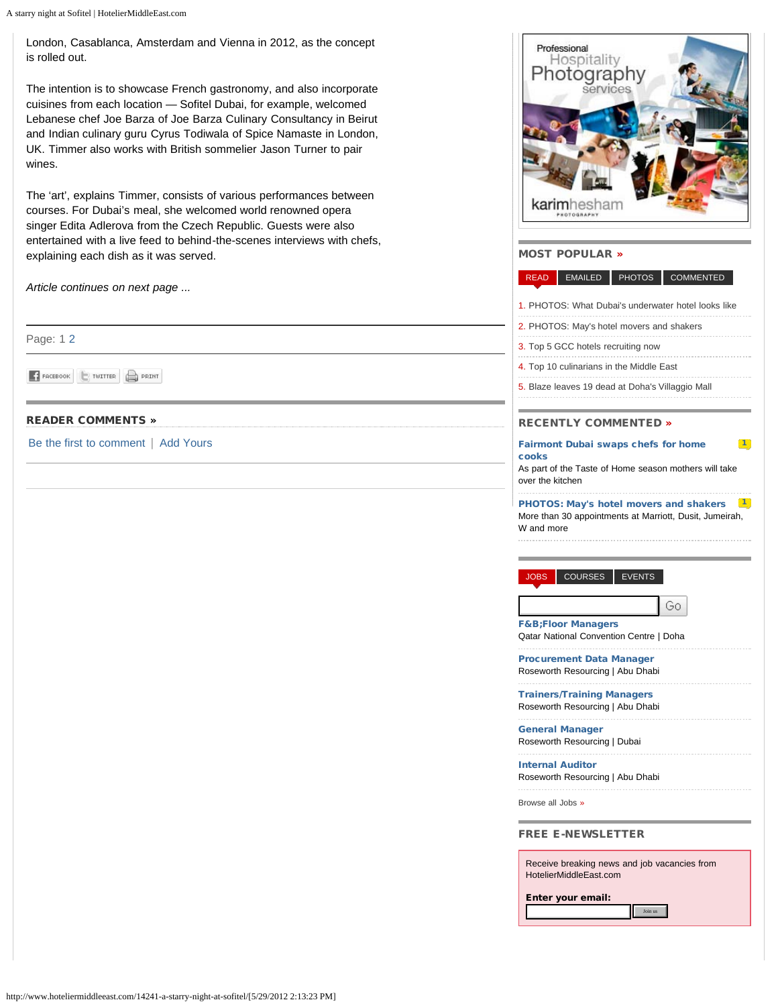A starry night at Sofitel | HotelierMiddleEast.com

London, Casablanca, Amsterdam and Vienna in 2012, as the concept is rolled out.

The intention is to showcase French gastronomy, and also incorporate cuisines from each location — Sofitel Dubai, for example, welcomed Lebanese chef Joe Barza of Joe Barza Culinary Consultancy in Beirut and Indian culinary guru Cyrus Todiwala of Spice Namaste in London, UK. Timmer also works with British sommelier Jason Turner to pair wines.

The 'art', explains Timmer, consists of various performances between courses. For Dubai's meal, she welcomed world renowned opera singer Edita Adlerova from the Czech Republic. Guests were also entertained with a live feed to behind-the-scenes interviews with chefs, explaining each dish as it was served.

*Article continues on next page ...*

Page: 1 [2](http://www.hoteliermiddleeast.com/14241-a-starry-night-at-sofitel/2/)

F FACEBOOK TWITTER PRINT

# [READER COMMENTS](http://www.hoteliermiddleeast.com/article/readerComments/14241/) »

[Be the first to comment](http://www.hoteliermiddleeast.com/article/readerComments/14241/) | [Add Yours](http://www.hoteliermiddleeast.com/article/readerComments/14241/)



## MOST POPULAR »

#### [READ](javascript:void(0)) [EMAILED](javascript:void(0)) [PHOTOS](javascript:void(0)) [COMMENTED](javascript:void(0))

- 1. [PHOTOS: What Dubai's underwater hotel looks like](http://www.hoteliermiddleeast.com/14337-photos-what-dubais-underwater-hotel-looks-like/)
- 2. [PHOTOS: May's hotel movers and shakers](http://www.hoteliermiddleeast.com/14372-photos-mays-hotel-movers-and-shakers/)
- 3. [Top 5 GCC hotels recruiting now](http://www.hoteliermiddleeast.com/14352-top-5-gcc-hotels-recruiting-now/)
- 4. [Top 10 culinarians in the Middle East](http://www.hoteliermiddleeast.com/14277-top-10-culinarians-in-the-middle-east/)
- 5. [Blaze leaves 19 dead at Doha's Villaggio Mall](http://www.hoteliermiddleeast.com/14389-blaze-leaves-19-dead-at-dohas-villaggio-mall/)

## RECENTLY COMMENTED »

#### [Fairmont Dubai swaps chefs for home](http://www.hoteliermiddleeast.com/article/readerComments/14377) [cooks](http://www.hoteliermiddleeast.com/article/readerComments/14377)

As part of the Taste of Home season mothers will take over the kitchen

PHOTOS: May's hotel movers and shakers [1](http://www.hoteliermiddleeast.com/article/readerComments/14372) More than 30 appointments at Marriott, Dusit, Jumeirah, W and more

[JOBS](javascript:void(0)) [COURSES](javascript:void(0)) [EVENTS](javascript:void(0))

Go.

 $\boxed{1}$  $\boxed{1}$  $\boxed{1}$ 

[F&B;Floor Managers](http://www.hoteliermiddleeast.com/jobs/32588-fbfloor-managers/) Qatar National Convention Centre | Doha

[Procurement Data Manager](http://www.hoteliermiddleeast.com/jobs/29823-procurement-data-manager-/) Roseworth Resourcing | Abu Dhabi

[Trainers/Training Managers](http://www.hoteliermiddleeast.com/jobs/29822-trainerstraining-managers/)

Roseworth Resourcing | Abu Dhabi [General Manager](http://www.hoteliermiddleeast.com/jobs/29821-general-manager/)

Roseworth Resourcing | Dubai

[Internal Auditor](http://www.hoteliermiddleeast.com/jobs/29820-internal-auditor/) Roseworth Resourcing | Abu Dhabi

[Browse all Jobs »](http://www.hoteliermiddleeast.com/jobs/search/)

#### FREE E-NEWSLETTER

Receive breaking news and job vacancies from HotelierMiddleEast.com

Join us

Enter your email:

http://www.hoteliermiddleeast.com/14241-a-starry-night-at-sofitel/[5/29/2012 2:13:23 PM]